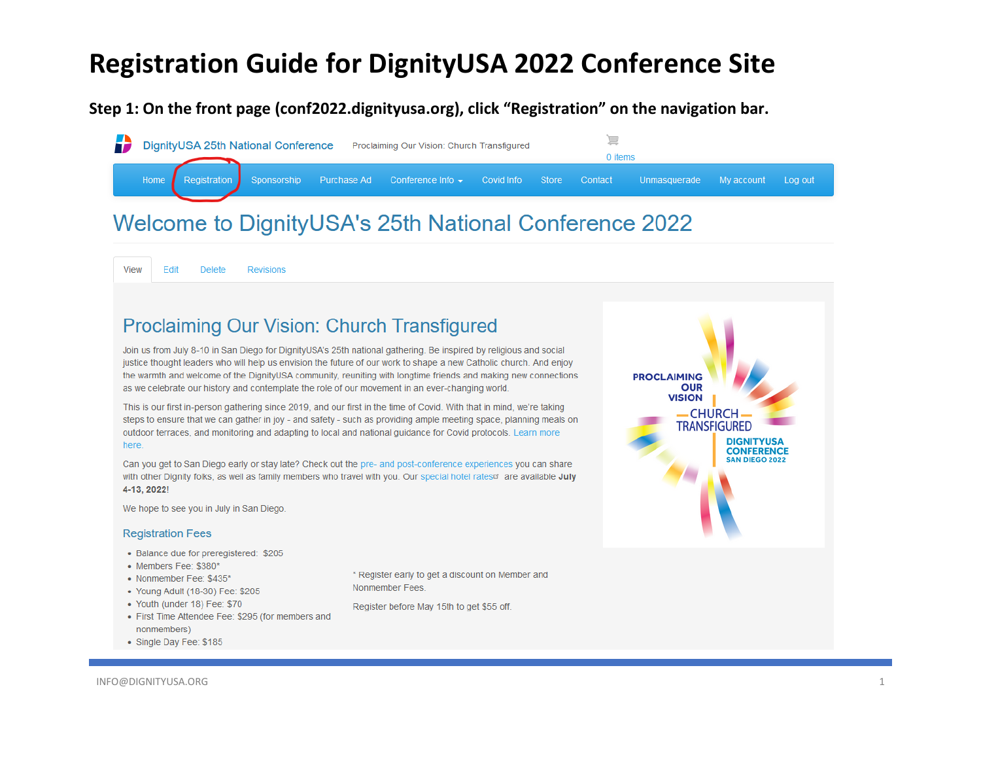#### **Step 1: On the front page (conf2022.dignityusa.org), click "Registration" on the navigation bar.**

|  |  | DignityUSA 25th National Conference Proclaiming Our Vision: Church Transfigured                                      |  | 0 items |  |  |
|--|--|----------------------------------------------------------------------------------------------------------------------|--|---------|--|--|
|  |  | Home Registration Sponsorship Purchase Ad Conference Info v Covid Info Store Contact Unmasquerade My account Log out |  |         |  |  |
|  |  |                                                                                                                      |  |         |  |  |

#### Welcome to DignityUSA's 25th National Conference 2022

View Edit **Delete Revisions** 

#### **Proclaiming Our Vision: Church Transfigured**

Join us from July 8-10 in San Diego for DignityUSA's 25th national gathering. Be inspired by religious and social justice thought leaders who will help us envision the future of our work to shape a new Catholic church. And enjoy the warmth and welcome of the DignityUSA community, reuniting with longtime friends and making new connections as we celebrate our history and contemplate the role of our movement in an ever-changing world.

This is our first in-person gathering since 2019, and our first in the time of Covid. With that in mind, we're taking steps to ensure that we can gather in joy - and safety - such as providing ample meeting space, planning meals on outdoor terraces, and monitoring and adapting to local and national guidance for Covid protocols. Learn more here.

Can you get to San Diego early or stay late? Check out the pre- and post-conference experiences you can share with other Dignity folks, as well as family members who travel with you. Our special hotel rates are available July 4-13, 2022!

We hope to see you in July in San Diego.

#### **Registration Fees**

- Balance due for preregistered: \$205
- Members Fee: \$380\*
- Nonmember Fee: \$435\*
- Young Adult (18-30) Fee: \$205
- Youth (under 18) Fee: \$70
- First Time Attendee Fee: \$295 (for members and nonmembers)
- Single Day Fee: \$185

\* Register early to get a discount on Member and Nonmember Fees.

Register before May 15th to get \$55 off.

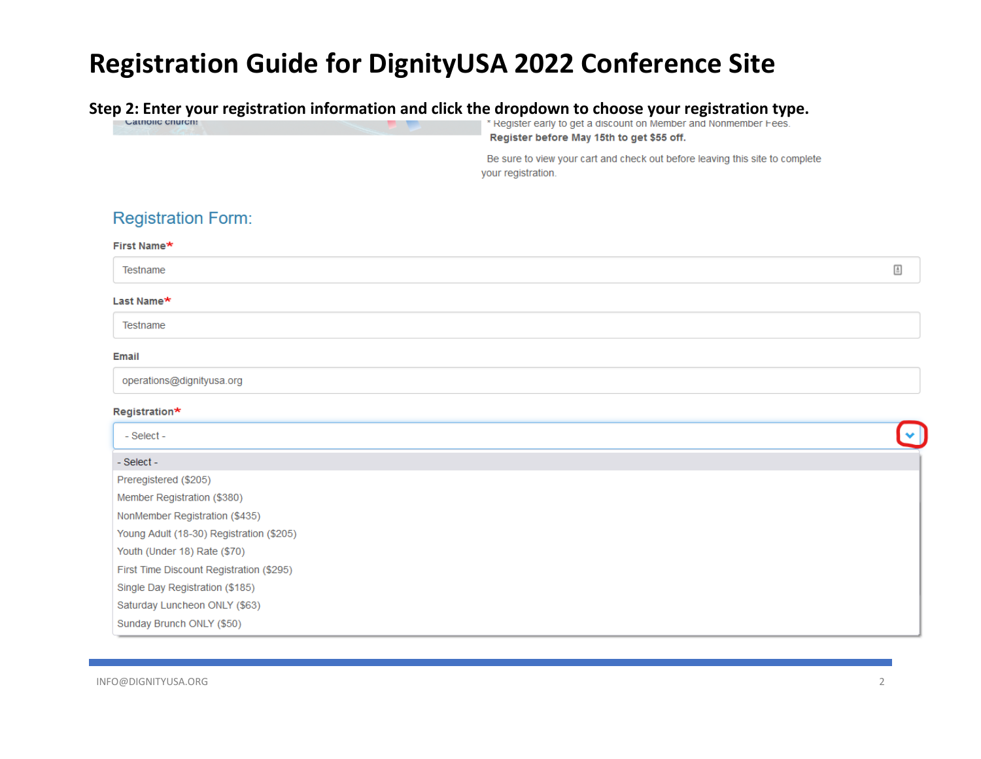#### **Step 2: Enter your registration information and click the dropdown to choose your registration type.**<br>Le register early to get a discount on Member and Nonmember Fees. Register before May 15th to get \$55 off. Be sure to view your cart and check out before leaving this site to complete your registration. **Registration Form:** First Name\*  $\triangleq$ Testname Last Name\* Testname Email operations@dignityusa.org Registration\* - Select -- Select -Preregistered (\$205) Member Registration (\$380) NonMember Registration (\$435) Young Adult (18-30) Registration (\$205) Youth (Under 18) Rate (\$70) First Time Discount Registration (\$295) Single Day Registration (\$185) Saturday Luncheon ONLY (\$63) Sunday Brunch ONLY (\$50)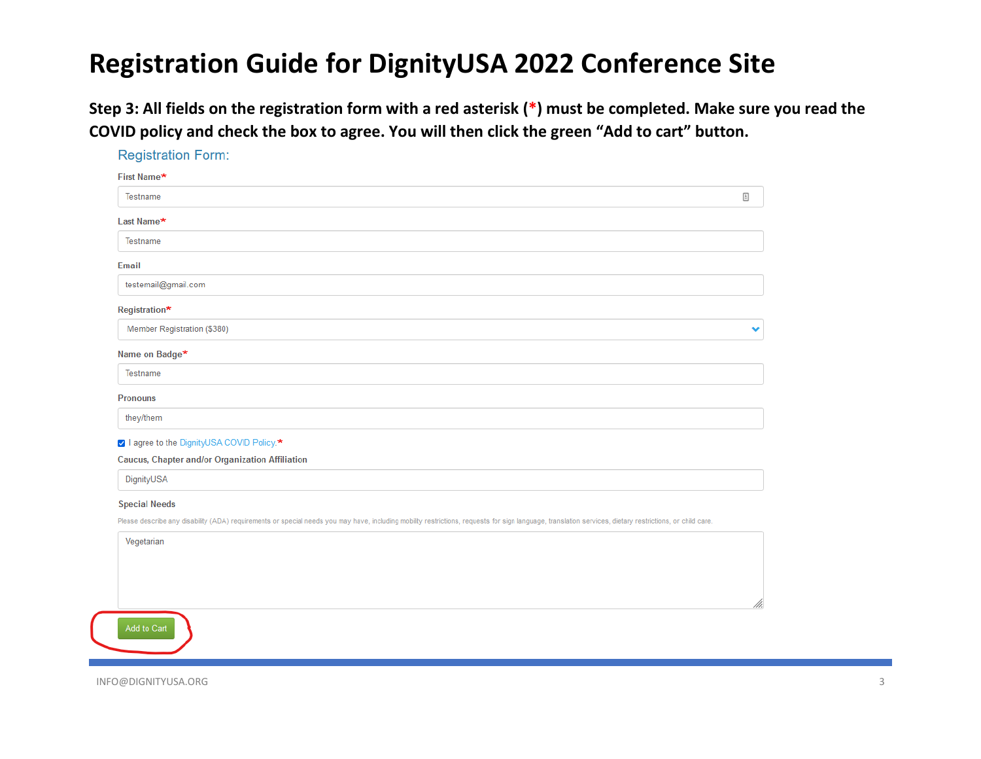**Step 3: All fields on the registration form with a red asterisk (\*) must be completed. Make sure you read the COVID policy and check the box to agree. You will then click the green "Add to cart" button.**

| <b>Registration Form:</b>                                                                                                                                                                                |   |
|----------------------------------------------------------------------------------------------------------------------------------------------------------------------------------------------------------|---|
| First Name*                                                                                                                                                                                              |   |
| Testname                                                                                                                                                                                                 | 固 |
| Last Name*                                                                                                                                                                                               |   |
| Testname                                                                                                                                                                                                 |   |
| Email                                                                                                                                                                                                    |   |
| testemail@gmail.com                                                                                                                                                                                      |   |
| Registration*                                                                                                                                                                                            |   |
| Member Registration (\$380)                                                                                                                                                                              |   |
| Name on Badge*                                                                                                                                                                                           |   |
| Testname                                                                                                                                                                                                 |   |
| <b>Pronouns</b>                                                                                                                                                                                          |   |
| they/them                                                                                                                                                                                                |   |
| ☑ I agree to the DignityUSA COVID Policy.*                                                                                                                                                               |   |
| <b>Caucus, Chapter and/or Organization Affiliation</b>                                                                                                                                                   |   |
| DignityUSA                                                                                                                                                                                               |   |
|                                                                                                                                                                                                          |   |
| <b>Special Needs</b>                                                                                                                                                                                     |   |
| Please describe any disability (ADA) requirements or special needs you may have, including mobility restrictions, requests for sign language, translation services, dietary restrictions, or child care. |   |
| Vegetarian                                                                                                                                                                                               |   |
|                                                                                                                                                                                                          |   |
|                                                                                                                                                                                                          |   |

INFO@DIGNITYUSA.ORG 3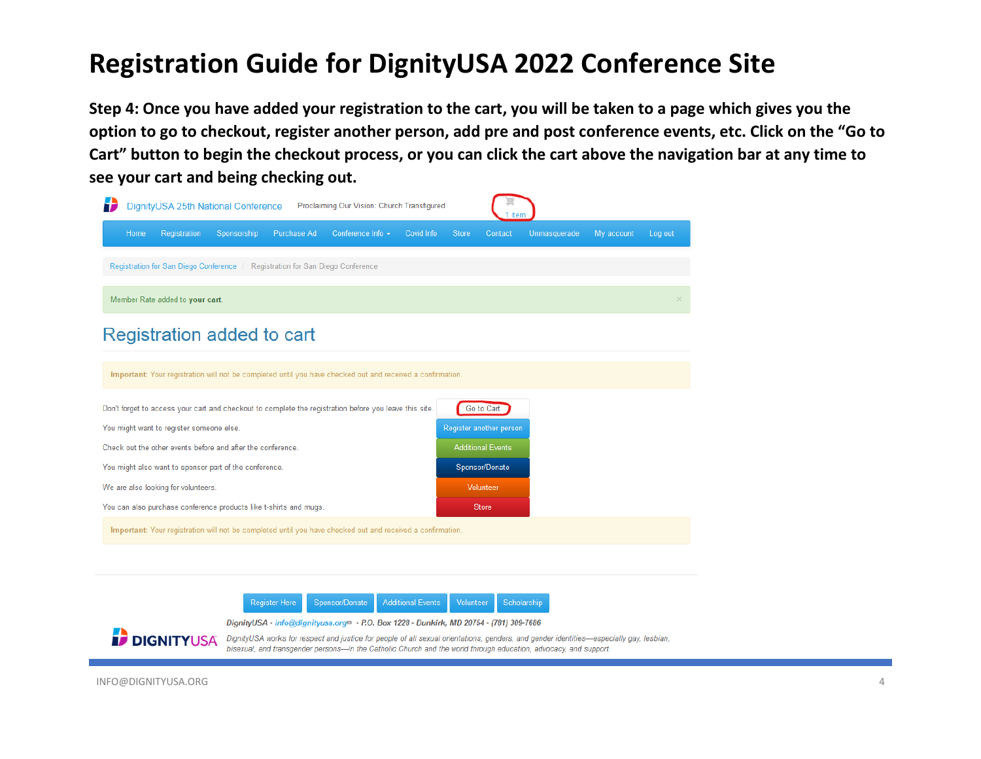**Step 4: Once you have added your registration to the cart, you will be taken to a page which gives you the option to go to checkout, register another person, add pre and post conference events, etc. Click on the "Go to Cart" button to begin the checkout process, or you can click the cart above the navigation bar at any time to see your cart and being checking out.**



**Register Here** Sponsor/Donate **Additional Events** Volunteer Scholarship

DignityUSA - info@dignityusa.org<sup>®</sup> - P.O. Box 1228 - Dunkirk, MD 20754 - (781) 309-7686

**DIGNITYUSA** DignityUSA works for respect and justice for people of all sexual orientations, genders, and gender identities—especially gay, lesbian, bisexual, and transgender persons-in the Catholic Church and the world through education, advocacy, and support.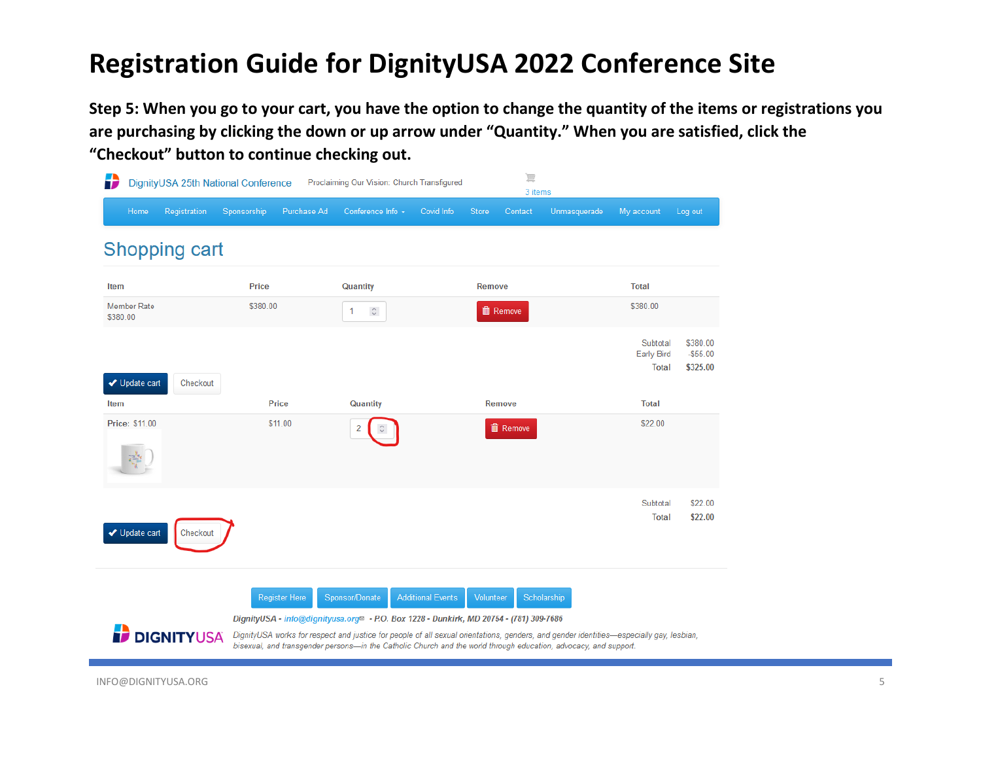**Step 5: When you go to your cart, you have the option to change the quantity of the items or registrations you are purchasing by clicking the down or up arrow under "Quantity." When you are satisfied, click the "Checkout" button to continue checking out.**

| Ð                              | 這<br>DignityUSA 25th National Conference<br>Proclaiming Our Vision: Church Transfigured<br>3 items |              |                      |                                                                                                                                                                                                                                                                                                                                                                                     |                          |              |                 |              |                                        |                                   |
|--------------------------------|----------------------------------------------------------------------------------------------------|--------------|----------------------|-------------------------------------------------------------------------------------------------------------------------------------------------------------------------------------------------------------------------------------------------------------------------------------------------------------------------------------------------------------------------------------|--------------------------|--------------|-----------------|--------------|----------------------------------------|-----------------------------------|
| Home                           | Registration                                                                                       | Sponsorship  | Purchase Ad          | Conference Info -                                                                                                                                                                                                                                                                                                                                                                   | Covid Info               | <b>Store</b> | Contact         | Unmasquerade | My account                             | Log out                           |
|                                | <b>Shopping cart</b>                                                                               |              |                      |                                                                                                                                                                                                                                                                                                                                                                                     |                          |              |                 |              |                                        |                                   |
| Item                           |                                                                                                    | <b>Price</b> |                      | Quantity                                                                                                                                                                                                                                                                                                                                                                            |                          | Remove       |                 |              | <b>Total</b>                           |                                   |
| <b>Member Rate</b><br>\$380.00 |                                                                                                    | \$380.00     |                      | $\hat{\mathcal{C}}$<br>1                                                                                                                                                                                                                                                                                                                                                            |                          |              | <b>■</b> Remove |              | \$380.00                               |                                   |
| ◆ Update cart                  | Checkout                                                                                           |              |                      |                                                                                                                                                                                                                                                                                                                                                                                     |                          |              |                 |              | Subtotal<br>Early Bird<br><b>Total</b> | \$380.00<br>$-$55.00$<br>\$325.00 |
| Item                           |                                                                                                    |              | <b>Price</b>         | Quantity                                                                                                                                                                                                                                                                                                                                                                            |                          |              | Remove          |              | <b>Total</b>                           |                                   |
| <b>Price: \$11.00</b>          |                                                                                                    |              | \$11.00              | 2                                                                                                                                                                                                                                                                                                                                                                                   |                          |              | <b>面 Remove</b> |              | \$22.00                                |                                   |
| ◆ Update cart                  | Checkout                                                                                           |              |                      |                                                                                                                                                                                                                                                                                                                                                                                     |                          |              |                 |              | Subtotal<br><b>Total</b>               | \$22.00<br>\$22.00                |
|                                | <b>DIGNITYUSA</b>                                                                                  |              | <b>Register Here</b> | Sponsor/Donate<br>DignityUSA - info@dignityusa.org <sup>®</sup> - P.O. Box 1228 - Dunkirk, MD 20754 - (781) 309-7686<br>DignityUSA works for respect and justice for people of all sexual orientations, genders, and gender identities—especially gay, lesbian,<br>bisexual, and transgender persons-in the Catholic Church and the world through education, advocacy, and support. | <b>Additional Events</b> | Volunteer    |                 | Scholarship  |                                        |                                   |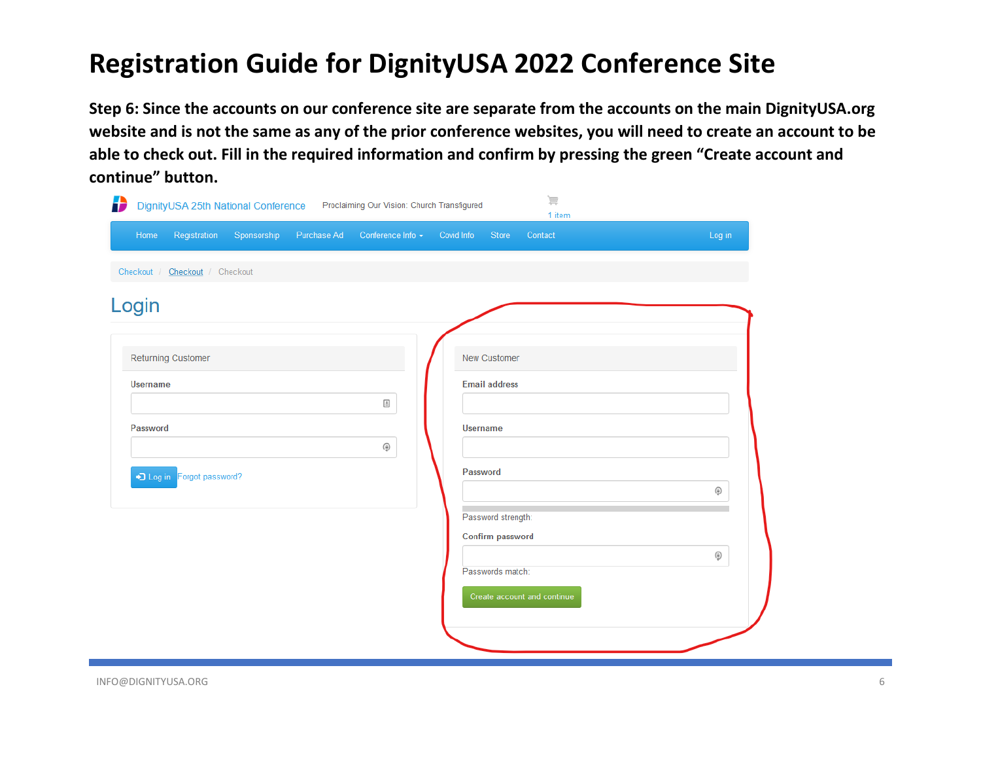**Step 6: Since the accounts on our conference site are separate from the accounts on the main DignityUSA.org website and is not the same as any of the prior conference websites, you will need to create an account to be able to check out. Fill in the required information and confirm by pressing the green "Create account and continue" button.**

| Sponsorship<br>Purchase Ad<br>Registration<br>Home | Conference Info +                                                                      | Covid Info<br>Store<br>Contact | Log in        |
|----------------------------------------------------|----------------------------------------------------------------------------------------|--------------------------------|---------------|
| Checkout / Checkout / Checkout                     |                                                                                        |                                |               |
| Login                                              |                                                                                        |                                |               |
|                                                    |                                                                                        |                                |               |
| Returning Customer                                 |                                                                                        | New Customer                   |               |
| <b>Username</b>                                    |                                                                                        | <b>Email address</b>           |               |
|                                                    | $\ensuremath{\mathrel{\mathop:}\hspace{-0.5em}\raisebox{0.3ex}{\text{\circle*{1.5}}}}$ |                                |               |
| Password                                           |                                                                                        | <b>Username</b>                |               |
|                                                    | ٥                                                                                      | Password                       |               |
| D Log in Forgot password?                          |                                                                                        |                                | ۵             |
|                                                    |                                                                                        | Password strength:             |               |
|                                                    |                                                                                        | Confirm password               |               |
|                                                    |                                                                                        | Passwords match:               | $\circledast$ |
|                                                    |                                                                                        | Create account and continue    |               |
|                                                    |                                                                                        |                                |               |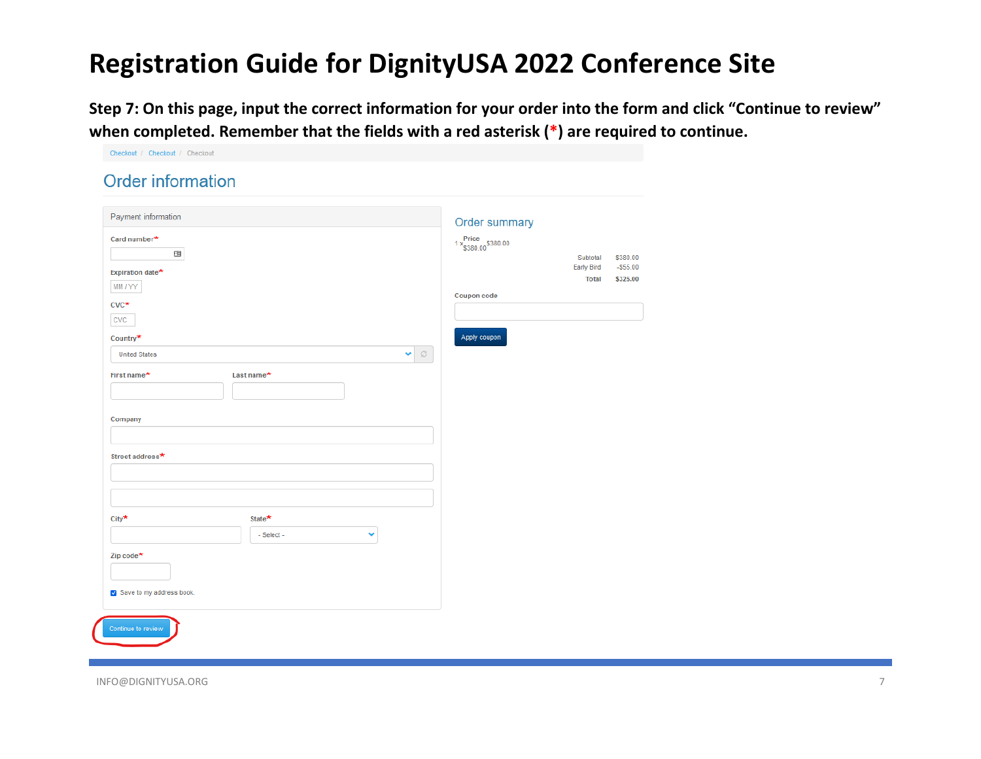**Step 7: On this page, input the correct information for your order into the form and click "Continue to review" when completed. Remember that the fields with a red asterisk (\*) are required to continue.** 

| <b>Order information</b>         |                    |                                           |                                   |                       |
|----------------------------------|--------------------|-------------------------------------------|-----------------------------------|-----------------------|
| Payment information              |                    | Order summary                             |                                   |                       |
| Card number*<br>国                |                    | $1 \times \frac{Price}{\$380.00}\$380.00$ | Subtotal                          | \$380.00              |
| Expiration date*<br>MM / YY      |                    |                                           | <b>Early Bird</b><br><b>Total</b> | $-555.00$<br>\$325.00 |
| $CVC^*$                          |                    | Coupon code                               |                                   |                       |
| <b>CVC</b>                       |                    | Apply coupon                              |                                   |                       |
| Country*<br><b>United States</b> | $\mathcal{O}$<br>Ÿ |                                           |                                   |                       |
| First name*<br>Last name*        |                    |                                           |                                   |                       |
| Company                          |                    |                                           |                                   |                       |
| Street address*                  |                    |                                           |                                   |                       |
|                                  |                    |                                           |                                   |                       |
|                                  |                    |                                           |                                   |                       |
| City*<br>State*<br>- Select -    | Ÿ                  |                                           |                                   |                       |
| Zip code <sup>★</sup>            |                    |                                           |                                   |                       |
| Save to my address book.         |                    |                                           |                                   |                       |
|                                  |                    |                                           |                                   |                       |
| Continue to review               |                    |                                           |                                   |                       |

Checkout / Checkout / Checkout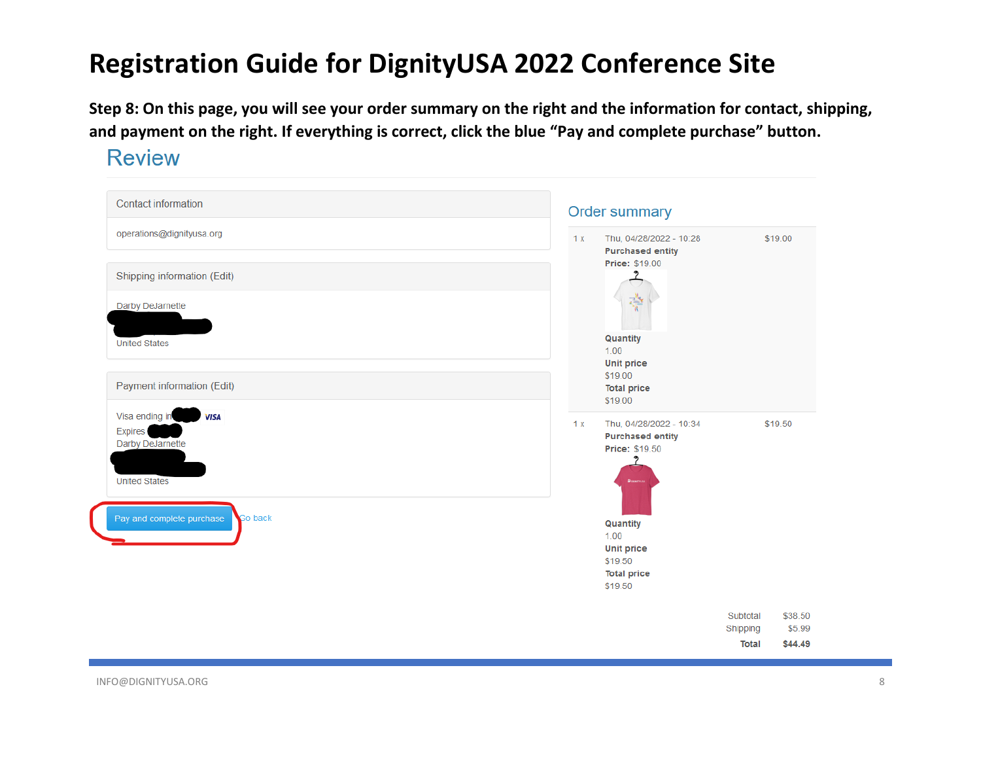**Step 8: On this page, you will see your order summary on the right and the information for contact, shipping, and payment on the right. If everything is correct, click the blue "Pay and complete purchase" button.** 

**Review** 

| <b>Contact information</b>                                                                  |    | <b>Order summary</b>                                                              |                                      |                              |  |  |  |
|---------------------------------------------------------------------------------------------|----|-----------------------------------------------------------------------------------|--------------------------------------|------------------------------|--|--|--|
| operations@dignityusa.org                                                                   | 1x | Thu, 04/28/2022 - 10:28<br><b>Purchased entity</b>                                |                                      | \$19.00                      |  |  |  |
| Shipping information (Edit)                                                                 |    | <b>Price: \$19.00</b>                                                             |                                      |                              |  |  |  |
| Darby DeJarnette                                                                            |    | 광                                                                                 |                                      |                              |  |  |  |
| <b>United States</b>                                                                        |    | Quantity<br>1.00<br><b>Unit price</b>                                             |                                      |                              |  |  |  |
| Payment information (Edit)                                                                  |    | \$19.00<br><b>Total price</b><br>\$19.00                                          |                                      |                              |  |  |  |
| Visa ending in<br><b>VISA</b><br><b>Expires</b><br>Darby DeJarnette<br><b>United States</b> | 1x | Thu, 04/28/2022 - 10:34<br><b>Purchased entity</b><br><b>Price: \$19.50</b>       |                                      | \$19.50                      |  |  |  |
| Pay and complete purchase<br>Go back                                                        |    | Quantity<br>1.00<br><b>Unit price</b><br>\$19.50<br><b>Total price</b><br>\$19.50 |                                      |                              |  |  |  |
|                                                                                             |    |                                                                                   | Subtotal<br>Shipping<br><b>Total</b> | \$38.50<br>\$5.99<br>\$44.49 |  |  |  |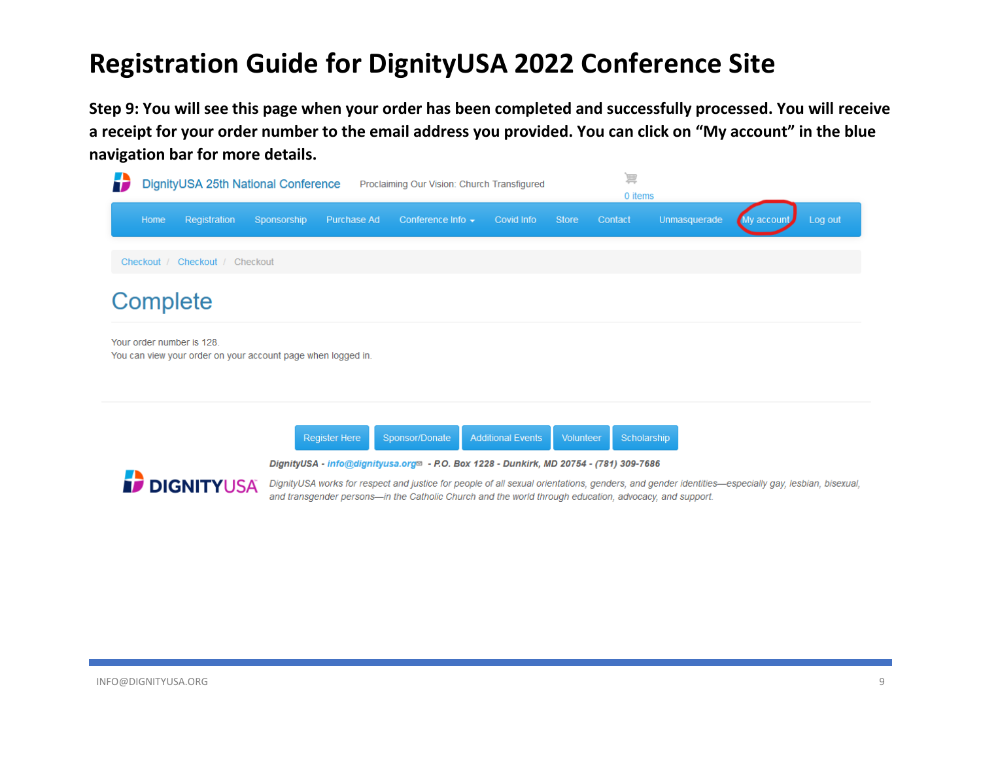**Step 9: You will see this page when your order has been completed and successfully processed. You will receive a receipt for your order number to the email address you provided. You can click on "My account" in the blue navigation bar for more details.** 









DignityUSA works for respect and justice for people of all sexual orientations, genders, and gender identities-especially gay, lesbian, bisexual, and transgender persons-in the Catholic Church and the world through education, advocacy, and support.